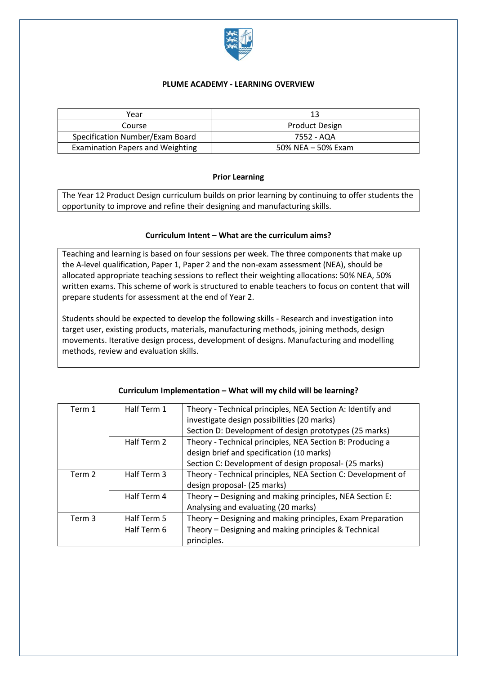

## **PLUME ACADEMY - LEARNING OVERVIEW**

| Year                                    |                       |
|-----------------------------------------|-----------------------|
| Course                                  | <b>Product Design</b> |
| Specification Number/Exam Board         | 7552 - AQA            |
| <b>Examination Papers and Weighting</b> | 50% NEA - 50% Exam    |

### **Prior Learning**

The Year 12 Product Design curriculum builds on prior learning by continuing to offer students the opportunity to improve and refine their designing and manufacturing skills.

### **Curriculum Intent – What are the curriculum aims?**

Teaching and learning is based on four sessions per week. The three components that make up the A-level qualification, Paper 1, Paper 2 and the non-exam assessment (NEA), should be allocated appropriate teaching sessions to reflect their weighting allocations: 50% NEA, 50% written exams. This scheme of work is structured to enable teachers to focus on content that will prepare students for assessment at the end of Year 2.

Students should be expected to develop the following skills - Research and investigation into target user, existing products, materials, manufacturing methods, joining methods, design movements. Iterative design process, development of designs. Manufacturing and modelling methods, review and evaluation skills.

| Term 1 | Half Term 1 | Theory - Technical principles, NEA Section A: Identify and   |
|--------|-------------|--------------------------------------------------------------|
|        |             | investigate design possibilities (20 marks)                  |
|        |             | Section D: Development of design prototypes (25 marks)       |
|        | Half Term 2 | Theory - Technical principles, NEA Section B: Producing a    |
|        |             | design brief and specification (10 marks)                    |
|        |             | Section C: Development of design proposal- (25 marks)        |
| Term 2 | Half Term 3 | Theory - Technical principles, NEA Section C: Development of |
|        |             | design proposal- (25 marks)                                  |
|        | Half Term 4 | Theory - Designing and making principles, NEA Section E:     |
|        |             | Analysing and evaluating (20 marks)                          |
| Term 3 | Half Term 5 | Theory - Designing and making principles, Exam Preparation   |
|        | Half Term 6 | Theory - Designing and making principles & Technical         |
|        |             | principles.                                                  |

#### **Curriculum Implementation – What will my child will be learning?**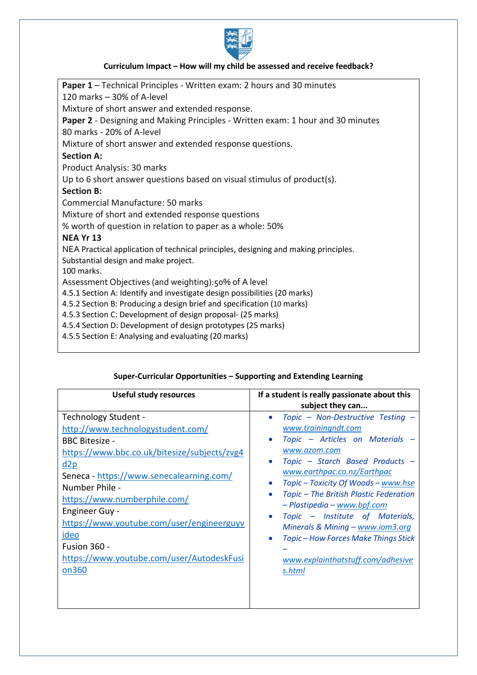

# **Curriculum Impact – How will my child be assessed and receive feedback?**

| <b>Paper 1</b> – Technical Principles - Written exam: 2 hours and 30 minutes        |  |  |
|-------------------------------------------------------------------------------------|--|--|
| 120 marks - 30% of A-level                                                          |  |  |
| Mixture of short answer and extended response.                                      |  |  |
| Paper 2 - Designing and Making Principles - Written exam: 1 hour and 30 minutes     |  |  |
| 80 marks - 20% of A-level                                                           |  |  |
| Mixture of short answer and extended response questions.                            |  |  |
| <b>Section A:</b>                                                                   |  |  |
| Product Analysis: 30 marks                                                          |  |  |
| Up to 6 short answer questions based on visual stimulus of product(s).              |  |  |
| <b>Section B:</b>                                                                   |  |  |
| <b>Commercial Manufacture: 50 marks</b>                                             |  |  |
| Mixture of short and extended response questions                                    |  |  |
| % worth of question in relation to paper as a whole: 50%                            |  |  |
| <b>NEA Yr 13</b>                                                                    |  |  |
| NEA Practical application of technical principles, designing and making principles. |  |  |
| Substantial design and make project.                                                |  |  |
| 100 marks.                                                                          |  |  |
| Assessment Objectives (and weighting): 50% of A level                               |  |  |
| 4.5.1 Section A: Identify and investigate design possibilities (20 marks)           |  |  |
| 4.5.2 Section B: Producing a design brief and specification (10 marks)              |  |  |
| 4.5.3 Section C: Development of design proposal- (25 marks)                         |  |  |
| 4.5.4 Section D: Development of design prototypes (25 marks)                        |  |  |
| 4.5.5 Section E: Analysing and evaluating (20 marks)                                |  |  |

# **Super-Curricular Opportunities – Supporting and Extending Learning**

| <b>Useful study resources</b>                                                                                                                                                                                                                                                                                                                                                                      | If a student is really passionate about this<br>subject they can                                                                                                                                                                                                                                                                                                                                                                                                         |
|----------------------------------------------------------------------------------------------------------------------------------------------------------------------------------------------------------------------------------------------------------------------------------------------------------------------------------------------------------------------------------------------------|--------------------------------------------------------------------------------------------------------------------------------------------------------------------------------------------------------------------------------------------------------------------------------------------------------------------------------------------------------------------------------------------------------------------------------------------------------------------------|
| Technology Student -<br>http://www.technologystudent.com/<br><b>BBC Bitesize -</b><br>https://www.bbc.co.uk/bitesize/subjects/zvg4<br>d2p<br>Seneca - https://www.senecalearning.com/<br>Number Phile -<br>https://www.numberphile.com/<br><b>Engineer Guy -</b><br>https://www.youtube.com/user/engineerguyv<br>ideo<br><b>Fusion 360 -</b><br>https://www.youtube.com/user/AutodeskFusi<br>on360 | Topic - Non-Destructive Testing -<br>www.trainingndt.com<br>Topic - Articles on Materials -<br>www.azom.com<br>Topic - Starch Based Products -<br>www.earthpac.co.nz/Earthpac<br>Topic - Toxicity Of Woods - www.hse<br>$\bullet$<br>Topic - The British Plastic Federation<br>- Plastipedia - www.bpf.com<br>Topic - Institute of Materials,<br>Minerals & Mining - www.iom3.org<br>Topic - How Forces Make Things Stick<br>www.explainthatstuff.com/adhesive<br>s.html |